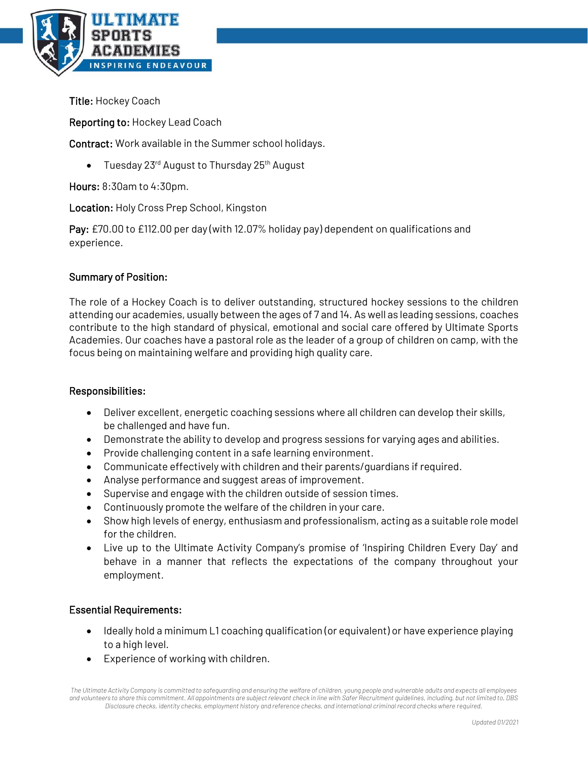

Title: Hockey Coach

Reporting to: Hockey Lead Coach

Contract: Work available in the Summer school holidays.

• Tuesday 23<sup>rd</sup> August to Thursday 25<sup>th</sup> August

Hours: 8:30am to 4:30pm.

Location: Holy Cross Prep School, Kingston

Pay: £70.00 to £112.00 per day (with 12.07% holiday pay) dependent on qualifications and experience.

## Summary of Position:

The role of a Hockey Coach is to deliver outstanding, structured hockey sessions to the children attending our academies, usually between the ages of 7 and 14. As well as leading sessions, coaches contribute to the high standard of physical, emotional and social care offered by Ultimate Sports Academies. Our coaches have a pastoral role as the leader of a group of children on camp, with the focus being on maintaining welfare and providing high quality care.

## Responsibilities:

- Deliver excellent, energetic coaching sessions where all children can develop their skills, be challenged and have fun.
- Demonstrate the ability to develop and progress sessions for varying ages and abilities.
- Provide challenging content in a safe learning environment.
- Communicate effectively with children and their parents/guardians if required.
- Analyse performance and suggest areas of improvement.
- Supervise and engage with the children outside of session times.
- Continuously promote the welfare of the children in your care.
- Show high levels of energy, enthusiasm and professionalism, acting as a suitable role model for the children.
- Live up to the Ultimate Activity Company's promise of 'Inspiring Children Every Day' and behave in a manner that reflects the expectations of the company throughout your employment.

## Essential Requirements:

- Ideally hold a minimum L1 coaching qualification (or equivalent) or have experience playing to a high level.
- Experience of working with children.

*The Ultimate Activity Company is committed to safeguarding and ensuring the welfare of children, young people and vulnerable adults and expects all employees and volunteers to share this commitment. All appointments are subject relevant check in line with Safer Recruitment guidelines, including, but not limited to, DBS Disclosure checks, identity checks, employment history and reference checks, and international criminal record checks where required.*